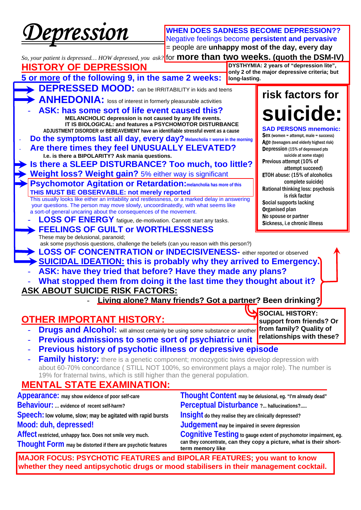*Depression* 

**WHEN DOES SADNESS BECOME DEPRESSION??**  Negative feelings become **persistent and pervasive** = people are **unhappy most of the day, every day**

*So, your patient is depressed… HOW depressed, you ask?*  for **more than two weeks. (quoth the DSM-IV) HISTORY OF DEPRESSION 5 or more of the following 9, in the same 2 weeks: DEPRESSED MOOD:** can be IRRITABILITY in kids and teens ANHEDONIA: loss of interest in formerly pleasurable activities **ASK: has some sort of life event caused this?**<br>MELANCHOLIC depression is not caused by any life events.  **IT IS BIOLOGICAL: and features a PSYCHOMOTOR DISTURBANCE ADJUSTMENT DISORDER or BEREAVEMENT have an identifiable stressful event as a cause Do the symptoms last all day, every day?** Melancholia = worse in the morning Are there times they feel UNUSUALLY ELEVATED? **I.e. is there a BIPOLARITY? Ask mania questions. Is there a SLEEP DISTURBANCE? Too much, too little? Weight loss? Weight gain?** 5% either way is significant - **Psychomotor Agitation or Retardation:melancholia has more of this THIS MUST BE OBSERVABLE: not merely reported**  This usually looks like either an irritability and restlessness, or a marked delay in answering your questions. The person may move slowly, uncoordinatedly, with what seems like a sort-of general uncaring about the consequences of the movement. LOSS OF ENERGY fatigue, de-motivation. Cannott start any tasks. **FEELINGS OF GUILT OF WORTHLESSNESS** These may be delusional, paranoid; ask some psychosis questions, challenge the beliefs (can you reason with this person?) **LOSS OF CONCENTRATION or INDECISIVENESS-** either reported or observed - **SUICIDAL IDEATION: this is probably why they arrived to Emergency.**  - **ASK: have they tried that before? Have they made any plans?**  - **What stopped them from doing it the last time they thought about it? ASK ABOUT SUICIDE RISK FACTORS: risk factors for suicide: SAD PERSONS mnemonic:**  Sex (women = attempt, male = success) Age (teenagers and elderly highest risk) Depression (15% of depressed pts suicide at some stage) Previous attempt (10% of attempt succeed) ETOH abuse: (15% of alcoholics complete suicide) Rational thinking loss: psychosis is risk factor Social supports lacking Organised plan No spouse or partner Sickness, i.e chronic illness **DYSTHYMIA: 2 years of "depression lite", only 2 of the major depressive criteria; but long-lasting.** 

**Living alone? Many friends? Got a partner? Been drinking?** 

**SOCIAL HISTORY:** 

**support from friends? Or from family? Quality of** 

# **OTHER IMPORTANT HISTORY:**

- **Drugs and Alcohol:** will almost certainly be using some substance or another
- **Previous admissions to some sort of psychiatric unit relationships with these?**
- **Previous history of psychotic illness or depressive episode**
- **Family history:** there is a genetic component; monozygotic twins develop depression with about 60-70% concordance ( STILL NOT 100%, so environment plays a major role). The number is 19% for fraternal twins, which is still higher than the general population.

# **MENTAL STATE EXAMINATION:**

| -------------                                                 |                                                                                         |
|---------------------------------------------------------------|-----------------------------------------------------------------------------------------|
| Thought Form may be distorted if there are psychotic features | can they concentrate, can they copy a picture, what is their short-<br>term memory like |
| Affect restricted, unhappy face. Does not smile very much.    | Cognitive Testing to gauge extent of psychomotor impairment, eg.                        |
| Mood: duh, depressed!                                         | Judgement may be impaired in severe depression                                          |
| Speech: low volume, slow; may be agitated with rapid bursts   | Insight do they realise they are clinically depressed?                                  |
| <b>Behaviour:</b> evidence of recent self-harm?               | Perceptual Disturbance ? hallucinations?                                                |
| Appearance: may show evidence of poor self-care               | Thought Content may be delusional, eg. "I'm already dead"                               |

**MAJOR FOCUS: PSYCHOTIC FEATURES and BIPOLAR FEATURES; you want to know whether they need antipsychotic drugs or mood stabilisers in their management cocktail.**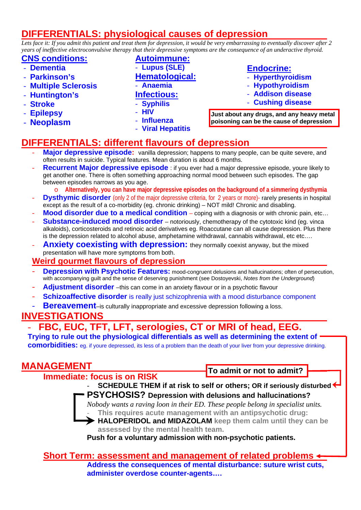# **DIFFERENTIALS: physiological causes of depression**

*Lets face it: If you admit this patient and treat them for depression, it would be very embarrassing to eventually discover after 2 years of ineffective electroconvulsive therapy that their depressive symptoms are the consequence of an underactive thyroid.* 

## **CNS conditions:**

- **Dementia**
- **Parkinson's**
- **Multiple Sclerosis**
- **Huntington's**
- **Stroke**
- **Epilepsy**
- **Neoplasm**
- **Autoimmune:**
- **Lupus (SLE)**
- **Hematological:**

# - **Anaemia**

- **Infectious:**
- **Syphilis**
- **HIV**
- **Influenza**
- **Viral Hepatitis**

# **Endocrine:**

- **Hyperthyroidism**
- **Hypothyroidism**
- **Addison disease**
- **Cushing disease**

**Just about any drugs, and any heavy metal poisoning can be the cause of depression** 

# **DIFFERENTIALS: different flavours of depression**

- Major depressive episode: vanilla depression; happens to many people, can be quite severe, and often results in suicide. Typical features. Mean duration is about 6 months.
- **Recurrent Major depressive episode** : if you ever had a major depressive episode, youre likely to get another one. There is often something approaching normal mood between such episodes. The gap between episodes narrows as you age.
	- Alternatively, you can have major depressive episodes on the background of a simmering dysthymia
- **Dysthymic disorder** (only 2 of the major depressive criteria, for 2 years or more)- rarely presents in hospital except as the result of a co-morbidity (eg. chronic drinking) – NOT mild! Chronic and disabling.
- **Mood disorder due to a medical condition** coping with a diagnosis or with chronic pain, etc...
- **Substance-induced mood disorder** notoriously, chemotherapy of the cytotoxic kind (eg. vinca alkaloids), corticosteroids and retinoic acid derivatives eg. Roaccutane can all cause depression. Plus there is the depression related to alcohol abuse, amphetamine withdrawal, cannabis withdrawal, etc etc….
- Anxiety coexisting with depression: they normally coexist anyway, but the mixed presentation will have more symptoms from both.

## **Weird gourmet flavours of depression**

- **Depression with Psychotic Features:** mood-congruent delusions and hallucinations; often of persecution, with accompanying guilt and the sense of deserving punishment (see Dostoyevski, *Notes from the Underground*)
- **Adjustment disorder** –this can come in an anxiety flavour or in a psychotic flavour
- **Schizoaffective disorder** is really just schizophrenia with a mood disturbance component
- **Bereavement**–is culturally inappropriate and excessive depression following a loss.

# **INVESTIGATIONS**

# - **FBC, EUC, TFT, LFT, serologies, CT or MRI of head, EEG.**

**Trying to rule out the physiological differentials as well as determining the extent of comorbidities:** eg. if youre depressed, its less of a problem than the death of your liver from your depressive drinking.

# **MANAGEMENT**

 **Immediate: focus is on RISK** 

**To admit or not to admit?** 

- **SCHEDULE THEM if at risk to self or others; OR if seriously disturbed PSYCHOSIS? Depression with delusions and hallucinations?** 

*Nobody wants a raving loon in their ED. These people belong in specialist units.*  - **This requires acute management with an antipsychotic drug:** 

- **HALOPERIDOL and MIDAZOLAM keep them calm until they can be assessed by the mental health team.** 

**Push for a voluntary admission with non-psychotic patients.** 

## **Short Term: assessment and management of related problems Address the consequences of mental disturbance: suture wrist cuts, administer overdose counter-agents….**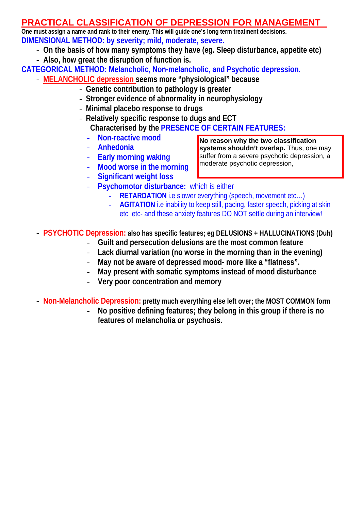# **PRACTICAL CLASSIFICATION OF DEPRESSION FOR MANAGEMENT**

**One must assign a name and rank to their enemy. This will guide one's long term treatment decisions. DIMENSIONAL METHOD: by severity; mild, moderate, severe.** 

- **On the basis of how many symptoms they have (eg. Sleep disturbance, appetite etc)**
- **Also, how great the disruption of function is.**

**CATEGORICAL METHOD: Melancholic, Non-melancholic, and Psychotic depression.** 

- **MELANCHOLIC depression seems more "physiological" because** 
	- **Genetic contribution to pathology is greater**
	- **Stronger evidence of abnormality in neurophysiology**
	- **Minimal placebo response to drugs**
	- **Relatively specific response to dugs and ECT Characterised by the PRESENCE OF CERTAIN FEATURES:**
		- **Non-reactive mood**
		- **Anhedonia**  - **Early morning waking**
- **No reason why the two classification systems shouldn't overlap.** Thus, one may suffer from a severe psychotic depression, a moderate psychotic depression,
- **Mood worse in the morning**
- **Significant weight loss**
- **Psychomotor disturbance:** which is either
	- **RETARDATION** i.e slower everything (speech, movement etc...)
	- AGITATION i.e inability to keep still, pacing, faster speech, picking at skin etc etc- and these anxiety features DO NOT settle during an interview!

- **PSYCHOTIC Depression: also has specific features; eg DELUSIONS + HALLUCINATIONS (Duh)**

- **Guilt and persecution delusions are the most common feature**
- **Lack diurnal variation (no worse in the morning than in the evening)**
- **May not be aware of depressed mood- more like a "flatness".**
- **May present with somatic symptoms instead of mood disturbance**
- **Very poor concentration and memory**
- **Non-Melancholic Depression: pretty much everything else left over; the MOST COMMON form**
	- **No positive defining features; they belong in this group if there is no features of melancholia or psychosis.**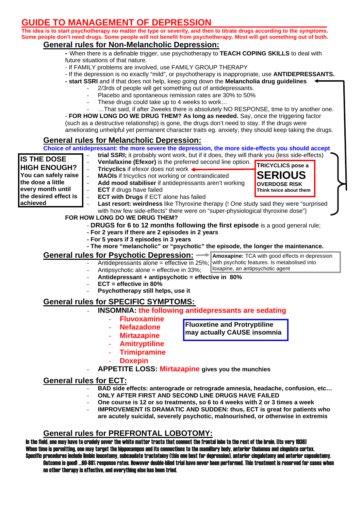# DE TO MANAGEMENT OF DEPRESSION

**The idea is to start psychotherapy no matter the type or severity, and then to titrate drugs according to the symptoms. Some people don't need drugs. Some people will not benefit from psychotherapy. Most will get something out of both.**

- **General rules for Non-Melancholic Depression:**<br>- When there is a definable trigger, use psychotherapy to **TEACH COPING SKILLS** to deal with future situations of that nature.
	- If FAMILY problems are involved, use FAMILY GROUP THERAPY
	- If the depression is no exactly "mild", or psychotherapy is inappropriate, use **ANTIDEPRESSANTS.**
	- **start SSRI** and if that does not help, keep going down the **Melancholia drug guidelines**
		- 2/3rds of people will get something out of antidepressants.
		- Placebo and spontaneous remission rates are 30% to 50%
		- These drugs could take up to 4 weeks to work...
		- ... That said, if after 2weeks there is absolutely NO RESPONSE, time to try another one.

- **FOR HOW LONG DO WE DRUG THEM? As long as needed.** Say, once the triggering factor (such as a destructive relationship) is gone, the drugs don't need to stay. If the drugs were ameliorating unhelpful yet permanent character traits eg. anxiety, they should keep taking the drugs.

**General rules for Melancholic Depression:**<br>Choice of antidepressant: the more severe the depression, the more side-effects you should accept

- **trial SSRI;** it probably wont work, but if it does, they will thank you (less side-effects)

| <b>IS THE DOSE</b>                                                            | trial SSRI; it probably wont work, but if it does, they will thank you (less side-effects)                                                                 |  |  |  |
|-------------------------------------------------------------------------------|------------------------------------------------------------------------------------------------------------------------------------------------------------|--|--|--|
|                                                                               | Venlafaxine (Efexor) is the preferred second line option.<br><b>TRICYCLICS pose a</b>                                                                      |  |  |  |
| <b>HIGH ENOUGH?</b>                                                           | Tricyclics if efexor does not work <<br>$\omega$                                                                                                           |  |  |  |
| You can safely raise                                                          | <b>SERIOUS</b><br><b>MAOIs</b> if tricyclics not working or contraindicated<br>$\omega$                                                                    |  |  |  |
| the dose a little                                                             | Add mood stabiliser if antidepressants aren't working<br>$\blacksquare$<br><b>OVERDOSE RISK</b>                                                            |  |  |  |
| every month until                                                             | <b>ECT</b> if drugs have failed<br>$\overline{a}$<br>Think twice about them                                                                                |  |  |  |
| the desired effect is                                                         | <b>ECT with Drugs if ECT alone has failed</b><br>$\frac{1}{2}$                                                                                             |  |  |  |
| achieved                                                                      | Last resort: weirdness like Thyroxine therapy (! One study said they were "surprised<br>$\overline{a}$                                                     |  |  |  |
|                                                                               | with how few side-effects" there were on "super-physiological thyroxine dose")                                                                             |  |  |  |
|                                                                               | FOR HOW LONG DO WE DRUG THEM?                                                                                                                              |  |  |  |
|                                                                               | - DRUGS for 6 to 12 months following the first episode is a good general rule;                                                                             |  |  |  |
|                                                                               | - For 2 years if there are 2 episodes in 2 years                                                                                                           |  |  |  |
|                                                                               | - For 5 years if 3 episodes in 3 years                                                                                                                     |  |  |  |
|                                                                               | - The more "melancholic" or "psychotic" the episode, the longer the maintenance.                                                                           |  |  |  |
|                                                                               | <u>General rules for Psychotic Depression:</u> →<br>Amoxapine: TCA with good effects in depression                                                         |  |  |  |
|                                                                               | Antidepressants alone = effective in 25%; with psychotic features. Is metabolised into                                                                     |  |  |  |
|                                                                               | loxapine, an antipsychotic agent<br>Antipsychotic alone = effective in 33%;                                                                                |  |  |  |
| Antidepressant + antipsychotic = effective in 80%                             |                                                                                                                                                            |  |  |  |
|                                                                               | $ECT = effective in 80%$                                                                                                                                   |  |  |  |
|                                                                               | Psychotherapy still helps, use it                                                                                                                          |  |  |  |
|                                                                               |                                                                                                                                                            |  |  |  |
| <b>General rules for SPECIFIC SYMPTOMS:</b>                                   |                                                                                                                                                            |  |  |  |
|                                                                               | <b>INSOMNIA: the following antidepressants are sedating</b>                                                                                                |  |  |  |
|                                                                               | <b>Fluvoxamine</b>                                                                                                                                         |  |  |  |
|                                                                               | <b>Fluoxetine and Protryptiline</b><br><b>Nefazadone</b>                                                                                                   |  |  |  |
|                                                                               | may actually CAUSE insomnia<br><b>Mirtazapine</b>                                                                                                          |  |  |  |
|                                                                               | <b>Amitryptiline</b>                                                                                                                                       |  |  |  |
|                                                                               |                                                                                                                                                            |  |  |  |
|                                                                               | <b>Trimipramine</b><br>$\overline{\phantom{a}}$                                                                                                            |  |  |  |
|                                                                               | <b>Doxepin</b>                                                                                                                                             |  |  |  |
|                                                                               | <b>APPETITE LOSS: Mirtazapine gives you the munchies</b>                                                                                                   |  |  |  |
|                                                                               |                                                                                                                                                            |  |  |  |
| <b>General rules for ECT:</b>                                                 |                                                                                                                                                            |  |  |  |
| BAD side effects: anterograde or retrograde amnesia, headache, confusion, etc |                                                                                                                                                            |  |  |  |
| ONLY AFTER FIRST AND SECOND LINE DRUGS HAVE FAILED                            |                                                                                                                                                            |  |  |  |
|                                                                               | One course is 12 or so treatments, so 6 to 4 weeks with 2 or 3 times a week<br>$MDDONEMENT$ IS $DDAMATIC$ AND SUDDEN: thus $ECT$ is areat for patients who |  |  |  |

DRAMATIC AND SUDDEN: thus. ECT is great for patients who **are acutely suicidal, severely psychotic, malnourished, or otherwise in extremis** 

## **General rules for PREFRONTAL LOBOTOMY:**

In the field, one may have to crudely sever the white matter tracts that connect the frontal lobe to the rest of the brain. (its very 1936) When time is permitting, one may target the hippocampus and its connections to the mamillary body, anterior thalamus and cingulate cortex. Specific procedures include limbic leucotomy, subcaudate tractotomy (this one best for depression), anterior cingulotomy and anterior capsulotomy.

Outcome is good! …60-80% response rates. However double-blind trial have never been performed. This treatment is reserved for cases when no other therapy is effective, and everything else has been tried.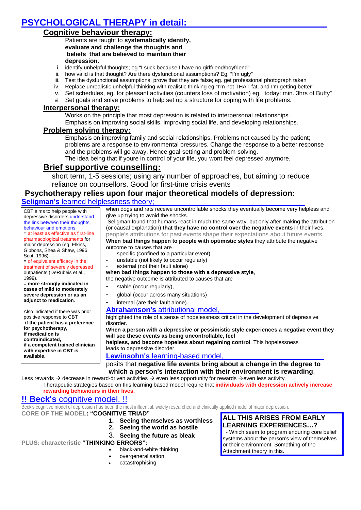# **PSYCHOLOGICAL THERAPY in detail:**

## **Cognitive behaviour therapy:**

Patients are taught to **systematically identify, evaluate and challenge the thoughts and beliefs that are believed to maintain their depression.** 

- i. identify unhelpful thoughts; eg "I suck because I have no girlfriend/boyfriend"
- ii. how valid is that thought? Are there dysfunctional assumptions? Eg. "I'm ugly"
- iii. Test the dysfunctional assumptions, prove that they are false; eg. get professional photograph taken
- iv. Replace unrealistic unhelpful thinking with realistic thinking eg "I'm not THAT fat, and I'm getting better"
- v. Set schedules, eg. for pleasant activities (counters loss of motivation) eg. "today: min. 3hrs of Buffy"
- vi. Set goals and solve problems to help set up a structure for coping with life problems.

#### **Interpersonal therapy:**

Works on the principle that most depression is related to interpersonal relationships. Emphasis on improving social skills, improving social life, and developing relationships.

### **Problem solving therapy:**

Emphasis on improving family and social relationships. Problems not caused by the patient; problems are a response to environmental pressures. Change the response to a better response and the problems will go away. Hence goal-setting and problem-solving.

The idea being that if youre in control of your life, you wont feel depressed anymore.

## **Brief supportive counselling:**

short term, 1-5 sessions; using any number of approaches, but aiming to reduce reliance on counsellors. Good for first-time crisis events

## **Psychotherapy relies upon four major theoretical models of depression:**

#### **Seligman's** learned helplessness theory;

CBT aims to help people with depressive disorders understand the link between their thoughts, behaviour and emotions = at least as effective as first-line pharmacological treatments for major depression (eg. Elkins, Gibbons, Shea & Shaw, 1996; Scot, 1996).

= of equivalent efficacy in the treatment of severely depressed outpatients (DeRubeis et al., 1999).

= **more strongly indicated in cases of mild to moderately severe depression or as an adjunct to medication**.

Also indicated if there was prior positive response to CBT  **if the patient has a preference for psychotherapy, if medication is contraindicated, if a competent trained clinician with expertise in CBT is available.**

when dogs and rats receive uncontrollable shocks they eventually become very helpless and give up trying to avoid the shocks.

 Seligman found that humans react in much the same way, but only after making the attribution (or causal explanation) **that they have no control over the negative events** in their lives. people's attributions for past events shape their expectations about future events.

#### **When bad things happen to people with optimistic styles** they attribute the negative outcome to causes that are

- specific (confined to a particular event),
- unstable (not likely to occur regularly)
- external (not their fault alone)

#### **when bad things happen to those with a depressive style**,

the negative outcome is attributed to causes that are

- stable (occur regularly),
- global (occur across many situations)
- internal (are their fault alone).

#### **Abrahamson's** attributional model,

highlighted the role of a sense of hopelessness critical in the development of depressive disorder.

**When a person with a depressive or pessimistic style experiences a negative event they will see these events as being uncontrollable, feel** 

**helpless, and become hopeless about regaining control**. This hopelessness leads to depressive disorder.

### **Lewinsohn's** learning-based model,

posits that **negative life events bring about a change in the degree to which a person's interaction with their environment is rewarding**.

Less rewards  $\rightarrow$  decrease in reward-driven activities  $\rightarrow$  even less opportunity for rewards  $\rightarrow$ even less activity Therapeutic strategies based on this learning based model require that **individuals with depression actively increase rewarding behaviours in their lives.**

## **!! Beck's** cognitive model. !!

Beck's cognitive model of depression has been the most influential, widely researched and clinically applied model of major depression.

#### **CORE OF THE MODEL: "COGNITIVE TRIAD"**

- **1. Seeing themselves as worthless**
- **2. Seeing the world as hostile**
- 3. **Seeing the future as bleak**

#### **PLUS: characteristic "THINKING ERRORS":**

- black-and-white thinking
- overgeneralisation
- catastrophising

#### **ALL THIS ARISES FROM EARLY LEARNING EXPERIENCES…?**

 - Which seem to program enduring core belief systems about the person's view of themselves or their environment. Something of the Attachment theory in this.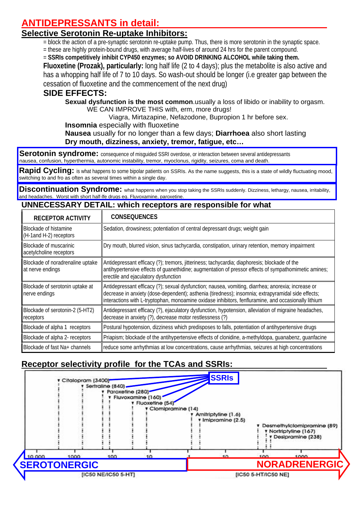# **ANTIDEPRESSANTS in detail:**

# **Selective Serotonin Re-uptake Inhibitors:**

= block the action of a pre-synaptic serotonin re-uptake pump. Thus, there is more serotonin in the synaptic space.

= these are highly protein-bound drugs, with average half-lives of around 24 hrs for the parent compound.

= **SSRIs competitively inhibit CYP450 enzymes; so AVOID DRINKING ALCOHOL while taking them.** 

**Fluoxetine (Prozak), particularly:** long half life (2 to 4 days); plus the metabolite is also active and has a whopping half life of 7 to 10 days. So wash-out should be longer (i.e greater gap between the cessation of fluoxetine and the commencement of the next drug)

# **SIDE EFFECTS:**

 **Sexual dysfunction is the most common**.usually a loss of libido or inability to orgasm. WE CAN IMPROVE THIS with, erm, more drugs!

Viagra, Mirtazapine, Nefazodone, Bupropion 1 hr before sex.

**Insomnia** especially with fluoxetine

**Nausea** usually for no longer than a few days; **Diarrhoea** also short lasting **Dry mouth, dizziness, anxiety, tremor, fatigue, etc…** 

 nausea, confusion, hyperthermia, autonomic instability, tremor, myoclonus, rigidity, seizures, coma and death. **Serotonin syndrome:** consequence of misquided SSRI overdose, or interaction between several antidepressants

**Rapid Cycling:** is what happens to some bipolar patients on SSRIs. As the name suggests, this is a state of wildly fluctuating mood, switching to and fro as often as several times within a single day.

Discontinuation Syndrome: what happens when you stop taking the SSRIs suddenly. Dizziness, lethargy, nausea, irritability, and headaches. Worst with short half-lfe drugs eg. Fluvoxamine, paroxetine.

## **UNNECESSARY DETAIL: which receptors are responsible for what**

| <b>RECEPTOR ACTIVITY</b>                             | <b>CONSEQUENCES</b>                                                                                                                                                                                                                                                                                              |
|------------------------------------------------------|------------------------------------------------------------------------------------------------------------------------------------------------------------------------------------------------------------------------------------------------------------------------------------------------------------------|
| Blockade of histamine<br>(H-1and H-2) receptors      | Sedation, drowsiness; potentiation of central depressant drugs; weight gain                                                                                                                                                                                                                                      |
| Blockade of muscarinic<br>acetylcholine receptors    | Dry mouth, blurred vision, sinus tachycardia, constipation, urinary retention, memory impairment                                                                                                                                                                                                                 |
| Blockade of noradrenaline uptake<br>at nerve endings | Antidepressant efficacy (?); tremors, jitteriness; tachycardia; diaphoresis; blockade of the<br>antihypertensive effects of guanethidine; augmentation of pressor effects of sympathomimetic amines;<br>erectile and ejaculatory dysfunction                                                                     |
| Blockade of serotonin uptake at<br>nerve endings     | Antidepressant efficacy (?); sexual dysfunction; nausea, vomiting, diarrhea; anorexia; increase or<br>decrease in anxiety (dose-dependent); asthenia (tiredness); insomnia; extrapyramidal side effects;<br>interactions with L-tryptophan, monoamine oxidase inhibitors, fenfluramine, and occasionally lithium |
| Blockade of serotonin-2 (5-HT2)<br>receptors         | Antidepressant efficacy (?), ejaculatory dysfunction, hypotension, alleviation of migraine headaches,<br>decrease in anxiety (?), decrease motor restlessness (?)                                                                                                                                                |
| Blockade of alpha 1 receptors                        | Postural hypotension, dizziness which predisposes to falls, potentiation of antihypertensive drugs                                                                                                                                                                                                               |
| Blockade of alpha 2- receptors                       | Priapism; blockade of the antihypertensive effects of clonidine, a-methyldopa, quanabenz, quanfacine                                                                                                                                                                                                             |
| Blockade of fast Na+ channels                        | reduce some arrhythmias at low concentrations, cause arrhythmias, seizures at high concentrations                                                                                                                                                                                                                |

# **Receptor selectivity profile for the TCAs and SSRIs:**

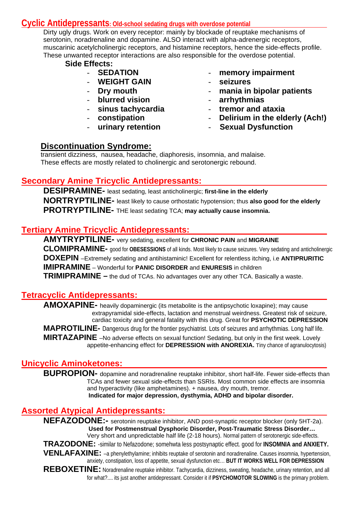## **Cyclic Antidepressants: Old-school sedating drugs with overdose potential**

Dirty ugly drugs. Work on every receptor: mainly by blockade of reuptake mechanisms of serotonin, noradrenaline and dopamine. ALSO interact with alpha-adrenergic receptors, muscarinic acetylcholinergic receptors, and histamine receptors, hence the side-effects profile. These unwanted receptor interactions are also responsible for the overdose potential.

## **Side Effects:**

- **SEDATION**
- **WEIGHT GAIN**
- **Dry mouth**
- **blurred vision**
- **sinus tachycardia**
- **constipation**
- **urinary retention**
- **memory impairment**
- **seizures**
- **mania in bipolar patients**
- **arrhythmias**
- **tremor and ataxia**
- **Delirium in the elderly (Ach!)**
- - **Sexual Dysfunction**

# **Discontinuation Syndrome:**

transient dizziness, nausea, headache, diaphoresis, insomnia, and malaise. These effects are mostly related to cholinergic and serotonergic rebound.

# **Secondary Amine Tricyclic Antidepressants:**

**DESIPRAMINE-** least sedating, least anticholinergic; **first-line in the elderly NORTRYPTILINE-** least likely to cause orthostatic hypotension; thus **also good for the elderly PROTRYPTILINE-** THE least sedating TCA; **may actually cause insomnia.**

# **Tertiary Amine Tricyclic Antidepressants:**

 **AMYTRYPTILINE-** very sedating, excellent for **CHRONIC PAIN** and **MIGRAINE CLOMIPRAMINE-** good for **OBESESSIONS** of all kinds. Most likely to cause seizures. Very sedating and anticholinergic  **DOXEPIN** –Extremely sedating and antihistaminic! Excellent for relentless itching, i.e **ANTIPRURITIC IMIPRAMINE** – Wonderful for **PANIC DISORDER** and **ENURESIS** in children **TRIMIPRAMINE –** the dud of TCAs. No advantages over any other TCA. Basically a waste.

## **Tetracyclic Antidepressants:**

**AMOXAPINE-** heavily dopaminergic (its metabolite is the antipsychotic loxapine); may cause extrapyramidal side-effects, lactation and menstrual weirdness. Greatest risk of seizure, cardiac toxicity and general fatality with this drug. Great for **PSYCHOTIC DEPRESSION MAPROTILINE-** Dangerous drug for the frontier psychiatrist. Lots of seizures and arrhythmias. Long half life. **MIRTAZAPINE** –No adverse effects on sexual function! Sedating, but only in the first week. Lovely appetite-enhancing effect for **DEPRESSION with ANOREXIA.** Tiny chance of agranulocytosis)

# **Unicyclic Aminoketones:**

**BUPROPION-** dopamine and noradrenaline reuptake inhibitor, short half-life. Fewer side-effects than TCAs and fewer sexual side-effects than SSRIs. Most common side effects are insomnia and hyperactivity (like amphetamines). + nausea, dry mouth, tremor.  **Indicated for major depression, dysthymia, ADHD and bipolar disorder.** 

# **Assorted Atypical Antidepressants:**

**NEFAZODONE:-** serotonin reuptake inhibitor, AND post-synaptic receptor blocker (only 5HT-2a).  **Used for Postmenstrual Dysphoric Disorder, Post-Traumatic Stress Disorder…**  Very short and unpredictable half life (2-18 hours). Normal pattern of serotonergic side-effects. **TRAZODONE:** -similar to Nefazodone; somehwta less postsynaptic effect. good for **INSOMNIA and ANXIETY. VENLAFAXINE:** –a phenylethylamine; inhibits reuptake of serotonin and noradrenaline. Causes insomnia, hypertension, anxiety, constipation, loss of appetite, sexual dysfunction etc… **BUT IT WORKS WELL FOR DEPRESSION** REBOXETINE: Noradrenaline reuptake inhibitor. Tachycardia, dizziness, sweating, headache, urinary retention, and all for what?.... its just another antidepressant. Consider it if **PSYCHOMOTOR SLOWING** is the primary problem.